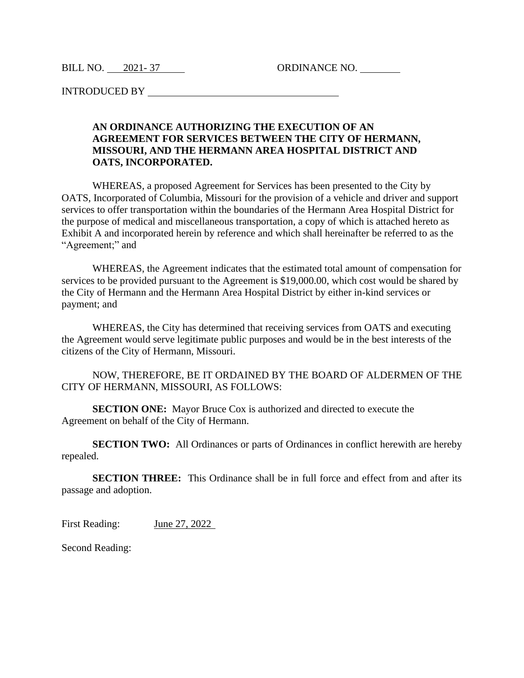BILL NO. 2021-37 ORDINANCE NO.

INTRODUCED BY

## **AN ORDINANCE AUTHORIZING THE EXECUTION OF AN AGREEMENT FOR SERVICES BETWEEN THE CITY OF HERMANN, MISSOURI, AND THE HERMANN AREA HOSPITAL DISTRICT AND OATS, INCORPORATED.**

WHEREAS, a proposed Agreement for Services has been presented to the City by OATS, Incorporated of Columbia, Missouri for the provision of a vehicle and driver and support services to offer transportation within the boundaries of the Hermann Area Hospital District for the purpose of medical and miscellaneous transportation, a copy of which is attached hereto as Exhibit A and incorporated herein by reference and which shall hereinafter be referred to as the "Agreement;" and

WHEREAS, the Agreement indicates that the estimated total amount of compensation for services to be provided pursuant to the Agreement is \$19,000.00, which cost would be shared by the City of Hermann and the Hermann Area Hospital District by either in-kind services or payment; and

WHEREAS, the City has determined that receiving services from OATS and executing the Agreement would serve legitimate public purposes and would be in the best interests of the citizens of the City of Hermann, Missouri.

NOW, THEREFORE, BE IT ORDAINED BY THE BOARD OF ALDERMEN OF THE CITY OF HERMANN, MISSOURI, AS FOLLOWS:

**SECTION ONE:** Mayor Bruce Cox is authorized and directed to execute the Agreement on behalf of the City of Hermann.

**SECTION TWO:** All Ordinances or parts of Ordinances in conflict herewith are hereby repealed.

**SECTION THREE:** This Ordinance shall be in full force and effect from and after its passage and adoption.

First Reading: June 27, 2022

Second Reading: